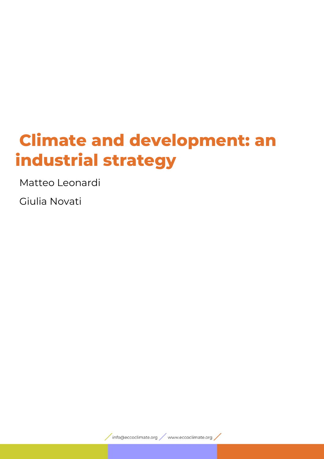# **Climate and development: an industrial strategy**

Matteo Leonardi

Giulia Novati

info@eccoclimate.org / www.eccoclimate.org /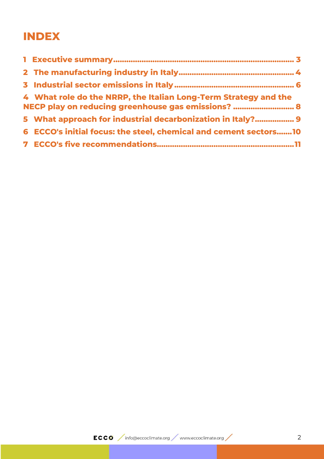## **INDEX**

| 4 What role do the NRRP, the Italian Long-Term Strategy and the<br>NECP play on reducing greenhouse gas emissions?  8 |
|-----------------------------------------------------------------------------------------------------------------------|
| 5 What approach for industrial decarbonization in Italy? 9                                                            |
| 6 ECCO's initial focus: the steel, chemical and cement sectors 10                                                     |
|                                                                                                                       |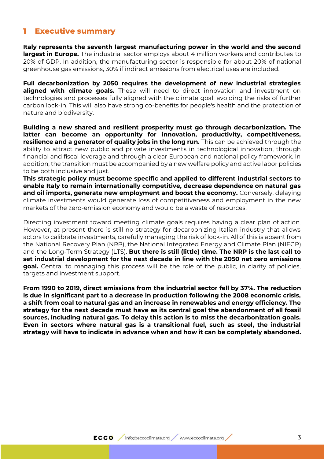#### <span id="page-2-0"></span>**1 Executive summary**

**Italy represents the seventh largest manufacturing power in the world and the second largest in Europe.** The industrial sector employs about 4 million workers and contributes to 20% of GDP. In addition, the manufacturing sector is responsible for about 20% of national greenhouse gas emissions, 30% if indirect emissions from electrical uses are included.

**Full decarbonization by 2050 requires the development of new industrial strategies aligned with climate goals.** These will need to direct innovation and investment on technologies and processes fully aligned with the climate goal, avoiding the risks of further carbon lock-in. This will also have strong co-benefits for people's health and the protection of nature and biodiversity.

**Building a new shared and resilient prosperity must go through decarbonization. The latter can become an opportunity for innovation, productivity, competitiveness, resilience and a generator of quality jobs in the long run.** This can be achieved through the ability to attract new public and private investments in technological innovation, through financial and fiscal leverage and through a clear European and national policy framework. In addition, the transition must be accompanied by a new welfare policy and active labor policies to be both inclusive and just.

**This strategic policy must become specific and applied to different industrial sectors to enable Italy to remain internationally competitive, decrease dependence on natural gas and oil imports, generate new employment and boost the economy.** Conversely, delaying climate investments would generate loss of competitiveness and employment in the new markets of the zero-emission economy and would be a waste of resources.

Directing investment toward meeting climate goals requires having a clear plan of action. However, at present there is still no strategy for decarbonizing Italian industry that allows actors to calibrate investments, carefully managing the risk of lock-in. All of this is absent from the National Recovery Plan (NRP), the National Integrated Energy and Climate Plan (NIECP) and the Long-Term Strategy (LTS). **But there is still (little) time. The NRP is the last call to set industrial development for the next decade in line with the 2050 net zero emissions goal.** Central to managing this process will be the role of the public, in clarity of policies, targets and investment support.

**From 1990 to 2019, direct emissions from the industrial sector fell by 37%. The reduction is due in significant part to a decrease in production following the 2008 economic crisis, a shift from coal to natural gas and an increase in renewables and energy efficiency. The strategy for the next decade must have as its central goal the abandonment of all fossil sources, including natural gas. To delay this action is to miss the decarbonization goals. Even in sectors where natural gas is a transitional fuel, such as steel, the industrial strategy will have to indicate in advance when and how it can be completely abandoned.**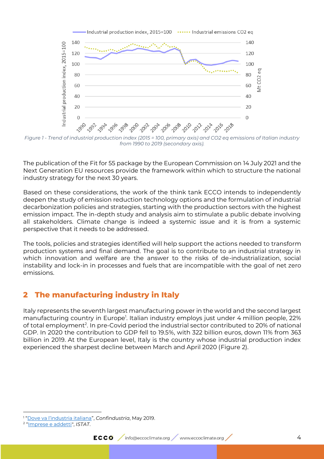

*Figure 1 - Trend of industrial production index (2015 = 100, primary axis) and CO2 eq emissions of Italian industry from 1990 to 2019 (secondary axis).*

The publication of the Fit for 55 package by the European Commission on 14 July 2021 and the Next Generation EU resources provide the framework within which to structure the national industry strategy for the next 30 years.

Based on these considerations, the work of the think tank ECCO intends to independently deepen the study of emission reduction technology options and the formulation of industrial decarbonization policies and strategies, starting with the production sectors with the highest emission impact. The in-depth study and analysis aim to stimulate a public debate involving all stakeholders. Climate change is indeed a systemic issue and it is from a systemic perspective that it needs to be addressed.

The tools, policies and strategies identified will help support the actions needed to transform production systems and final demand. The goal is to contribute to an industrial strategy in which innovation and welfare are the answer to the risks of de-industrialization, social instability and lock-in in processes and fuels that are incompatible with the goal of net zero emissions.

## <span id="page-3-0"></span>**2 The manufacturing industry in Italy**

Italy represents the seventh largest manufacturing power in the world and the second largest manufacturing country in Europe<sup>1</sup>. Italian industry employs just under 4 million people, 22% of total employment<sup>2</sup>. In pre-Covid period the industrial sector contributed to 20% of national GDP. In 2020 the contribution to GDP fell to 19.5%, with 322 billion euros, down 11% from 363 billion in 2019. At the European level, Italy is the country whose industrial production index experienced the sharpest decline between March and April 2020 [\(Figure 2\)](#page-4-0).

<sup>1</sup> ["Dove va l'industria italiana"](https://www.confindustria.it/notizie/dettaglio-notizie/dove-va-industria-italiana-online-rapporto-2019?__cf_chl_jschl_tk__=pmd_tcYR39hnx.dYbp6ILTrXll2jxOnQsHr3mCEnu1eUx5M-1633563091-0-gqNtZGzNAlCjcnBszQeR), *Confindustria*, May 2019.

<sup>2</sup> "[Imprese e addetti"](http://dati.istat.it/Index.aspx?DataSetCode=DICA_ASIAUE1P), *ISTAT*.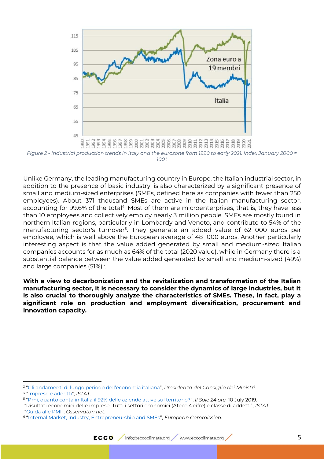

<span id="page-4-0"></span>*Figure 2 - Industrial production trends in Italy and the eurozone from 1990 to early 2021. Index January 2000 = 100<sup>3</sup> .*

Unlike Germany, the leading manufacturing country in Europe, the Italian industrial sector, in addition to the presence of basic industry, is also characterized by a significant presence of small and medium-sized enterprises (SMEs, defined here as companies with fewer than 250 employees). About 371 thousand SMEs are active in the Italian manufacturing sector, accounting for 99.6% of the total<sup>4</sup>. Most of them are microenterprises, that is, they have less than 10 employees and collectively employ nearly 3 million people. SMEs are mostly found in northern Italian regions, particularly in Lombardy and Veneto, and contribute to 54% of the manufacturing sector's turnover<sup>5</sup>. They generate an added value of 62<sup>t</sup>000 euros per employee, which is well above the European average of 48˙000 euros. Another particularly interesting aspect is that the value added generated by small and medium-sized Italian companies accounts for as much as 64% of the total (2020 value), while in Germany there is a substantial balance between the value added generated by small and medium-sized (49%) and large companies (51%)<sup>6</sup>.

**With a view to decarbonization and the revitalization and transformation of the Italian manufacturing sector, it is necessary to consider the dynamics of large industries, but it is also crucial to thoroughly analyze the characteristics of SMEs. These, in fact, play a significant role on production and employment diversification, procurement and innovation capacity.**

<sup>3</sup> ["Gli andamenti di lungo periodo dell'econ](Gli%20andamenti%20di%20lungo%20periodo%20dell’economia%20italiana%20|%20Dipartimento%20per%20la%20programmazione%20e%20il%20coordinamento%20della%20politica%20economica%20(programmazioneeconomica.gov.it))omia italiana", *Presidenza del Consiglio dei Ministri.* 

<sup>4</sup> "[Imprese e addetti"](http://dati.istat.it/Index.aspx?DataSetCode=DICA_ASIAUE1P), *ISTAT*.

<sup>5</sup> "[Pmi, quanto conta in Italia il 92% delle aziende attive sul territorio?](Pmi,%20quanto%20conta%20in%20Italia%20il%2092%25%20delle%20aziende%20attive%20sul%20territorio?%20-%20Info%20Data%20(ilsole24ore.com))", *Il Sole 24 ore,* 10 July 2019.

<sup>&</sup>quot;Risultati economici delle imprese: Tutti i settori economici (Ateco 4 cifre) e classe di addetti", *ISTAT.* "[Guida alle PMI](PMI:%20significato,%20numeri%20e%20innovazione%20delle%20piccole-medie%20imprese%20(osservatori.net))", *Osservatori.net*.

<sup>6</sup> "[Internal Market, Industry, Entrepreneurship and SMEs](https://ec.europa.eu/growth/smes/sme-strategy/performance-review_en%20-%20Country%20factsheets)", *European Commission.*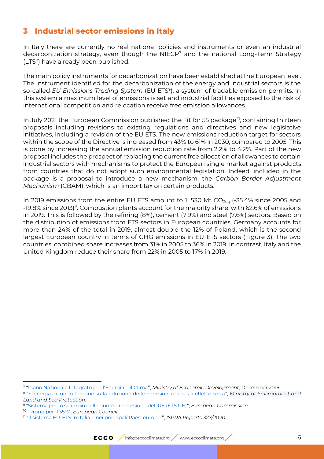## <span id="page-5-0"></span>**3 Industrial sector emissions in Italy**

In Italy there are currently no real national policies and instruments or even an industrial decarbonization strategy, even though the NIECP<sup>7</sup> and the national Long-Term Strategy (LTS<sup>8</sup>) have already been published.

The main policy instruments for decarbonization have been established at the European level. The instrument identified for the decarbonization of the energy and industrial sectors is the so-called *EU Emissions Trading System* (EU ETS<sup>9</sup> ), a system of tradable emission permits. In this system a maximum level of emissions is set and industrial facilities exposed to the risk of international competition and relocation receive free emission allowances.

In July 2021 the European Commission published the Fit for 55 package*<sup>10</sup>*, containing thirteen proposals including revisions to existing regulations and directives and new legislative initiatives, including a revision of the EU ETS. The new emissions reduction target for sectors within the scope of the Directive is increased from 43% to 61% in 2030, compared to 2005. This is done by increasing the annual emission reduction rate from 2.2% to 4.2%. Part of the new proposal includes the prospect of replacing the current free allocation of allowances to certain industrial sectors with mechanisms to protect the European single market against products from countries that do not adopt such environmental legislation. Indeed, included in the package is a proposal to introduce a new mechanism, the *Carbon Border Adjustment Mechanism* (CBAM), which is an import tax on certain products.

In 2019 emissions from the entire EU ETS amount to 1 530 Mt  $CO_{2eq}$  (-35.4% since 2005 and -19.8% since 2013)<sup>11</sup>. Combustion plants account for the majority share, with 62.6% of emissions in 2019. This is followed by the refining (8%), cement (7.9%) and steel (7.6%) sectors. Based on the distribution of emissions from ETS sectors in European countries, Germany accounts for more than 24% of the total in 2019, almost double the 12% of Poland, which is the second largest European country in terms of GHG emissions in EU ETS sectors (Figure 3). The two countries' combined share increases from 31% in 2005 to 36% in 2019. In contrast, Italy and the United Kingdom reduce their share from 22% in 2005 to 17% in 2019.

<sup>7</sup> ["Piano Nazionale Integrato per l'Energia e il Clima"](https://www.mise.gov.it/index.php/it/notizie-stampa/2040668-pniec2030), *Ministry of Economic Development,* December 2019.

<sup>8</sup> "[Strategia di lungo termine sulla riduzione delle emissioni dei gas a effetto serra](https://www.minambiente.it/sites/default/files/lts_gennaio_2021.pdf)", *Ministry of Environment and Land and Sea Protection*.

<sup>9</sup> ["Sistema per lo scambio delle quote di emissione dell'UE \(ETS UE\)"](Sistema%20per%20lo%20scambio%20delle%20quote%20di%20emissione%20dell), *European Commission.* 

<sup>10</sup> ["Pronti per il 55%"](Piano%20dell), *European Council.* 

<sup>11</sup> "[Il sistema EU-ETS in Italia e nei principali Paesi europei](https://www.isprambiente.gov.it/it/pubblicazioni/rapporti/il-sistema-eu-ets-in-italia-e-nei-principali-paesi-europei)", *ISPRA Reports 327/2020*.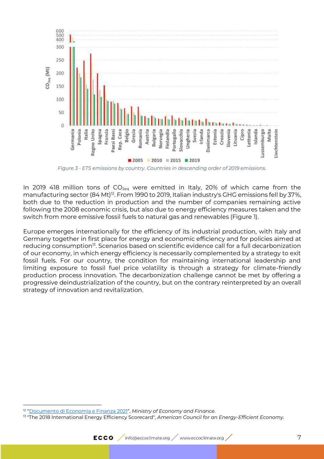

*Figure 3 - ETS emissions by country. Countries in descending order of 2019 emissions.*

In 2019 418 million tons of  $CO<sub>2ea</sub>$  were emitted in Italy, 20% of which came from the manufacturing sector (84 Mt)<sup>12</sup>. From 1990 to 2019, Italian industry's GHG emissions fell by 37%, both due to the reduction in production and the number of companies remaining active following the 2008 economic crisis, but also due to energy efficiency measures taken and the switch from more emissive fossil fuels to natural gas and renewables (Figure 1).

Europe emerges internationally for the efficiency of its industrial production, with Italy and Germany together in first place for energy and economic efficiency and for policies aimed at reducing consumption<sup>13</sup>. Scenarios based on scientific evidence call for a full decarbonization of our economy, in which energy efficiency is necessarily complemented by a strategy to exit fossil fuels. For our country, the condition for maintaining international leadership and limiting exposure to fossil fuel price volatility is through a strategy for climate-friendly production process innovation. The decarbonization challenge cannot be met by offering a progressive deindustrialization of the country, but on the contrary reinterpreted by an overall strategy of innovation and revitalization.

<sup>&</sup>lt;sup>12</sup> "<u>[Documento di Economia e Finanza 2021](http://www.dt.mef.gov.it/modules/documenti_it/analisi_progammazione/documenti_programmatici/def_2021/DEF_2021_PdS_15_04.pdf)</u>", *Ministry of Economy and Finance.* 

<sup>13</sup> "The 2018 International Energy Efficiency Scorecard", *American Council for an Energy-Efficient Economy.*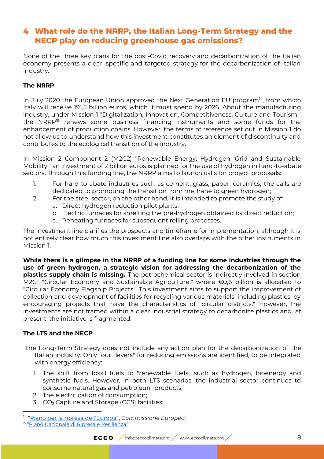## <span id="page-7-0"></span>**4 What role do the NRRP, the Italian Long-Term Strategy and the NECP play on reducing greenhouse gas emissions?**

None of the three key plans for the post-Covid recovery and decarbonization of the Italian economy presents a clear, specific and targeted strategy for the decarbonization of Italian industry.

#### **The NRRP**

In July 2020 the European Union approved the Next Generation EU program*<sup>14</sup>*, from which Italy will receive 191,5 billion euros, which it must spend by 2026. About the manufacturing industry, under Mission 1 "Digitalization, Innovation, Competitiveness, Culture and Tourism," the NRRP<sup>15</sup> renews some business financing instruments and some funds for the enhancement of production chains. However, the terms of reference set out in Mission 1 do not allow us to understand how this investment constitutes an element of discontinuity and contributes to the ecological transition of the industry.

In Mission 2 Component 2 (M2C2) "Renewable Energy, Hydrogen, Grid and Sustainable Mobility," an investment of 2 billion euros is planned for the use of hydrogen in hard-to-abate sectors. Through this funding line, the NRRP aims to launch calls for project proposals:

- 1. For hard to abate industries such as cement, glass, paper, ceramics, the calls are dedicated to promoting the transition from methane to green hydrogen;
- 2. For the steel sector, on the other hand, it is intended to promote the study of:
	- a. Direct hydrogen reduction pilot plants;
	- b. Electric furnaces for smelting the pre-hydrogen obtained by direct reduction;
	- c. Reheating furnaces for subsequent rolling processes.

The investment line clarifies the prospects and timeframe for implementation, although it is not entirely clear how much this investment line also overlaps with the other instruments in Mission 1.

**While there is a glimpse in the NRRP of a funding line for some industries through the use of green hydrogen, a strategic vision for addressing the decarbonization of the plastics supply chain is missing.** The petrochemical sector is indirectly involved in section M2C1 "Circular Economy and Sustainable Agriculture," where €0,6 billion is allocated to "Circular Economy Flagship Projects." This investment aims to support the improvement of collection and development of facilities for recycling various materials, including plastics, by encouraging projects that have the characteristics of "circular districts." However, the investments are not framed within a clear industrial strategy to decarbonize plastics and, at present, the initiative is fragmented.

#### **The LTS and the NECP**

- The Long-Term Strategy does not include any action plan for the decarbonization of the Italian industry. Only four "levers" for reducing emissions are identified, to be integrated with energy efficiency:
	- 1. The shift from fossil fuels to "renewable fuels" such as hydrogen, bioenergy and synthetic fuels. However, in both LTS scenarios, the industrial sector continues to consume natural gas and petroleum products;
	- 2. The electrification of consumption;
	- 3. CO<sub>2</sub> Capture and Storage (CCS) facilities;

<sup>14</sup> ["Piano per la ripresa dell'Europa"](Piano%20per%20la%20ripresa%20dell), *Commissione Europea.* 

<sup>&</sup>lt;sup>15</sup> "<u>[Piano Nazionale di Ripresa e Resilienza](https://www.governo.it/sites/governo.it/files/PNRR.pdf)</u>".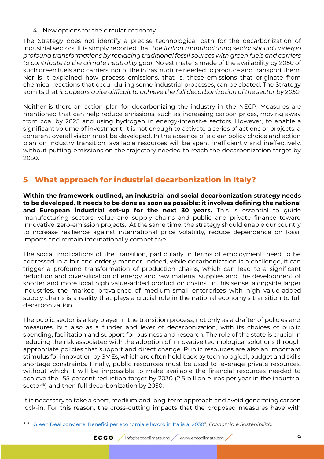4. New options for the circular economy.

The Strategy does not identify a precise technological path for the decarbonization of industrial sectors. It is simply reported that *the Italian manufacturing sector should undergo profound transformations by replacing traditional fossil sources with green fuels and carriers to contribute to the climate neutrality goal*. No estimate is made of the availability by 2050 of such green fuels and carriers, nor of the infrastructure needed to produce and transport them. Nor is it explained how process emissions, that is, those emissions that originate from chemical reactions that occur during some industrial processes, can be abated. The Strategy admits that *it appears quite difficult to achieve the full decarbonization of the sector by 2050.*

Neither is there an action plan for decarbonizing the industry in the NECP. Measures are mentioned that can help reduce emissions, such as increasing carbon prices, moving away from coal by 2025 and using hydrogen in energy-intensive sectors. However, to enable a significant volume of investment, it is not enough to activate a series of actions or projects; a coherent overall vision must be developed. In the absence of a clear policy choice and action plan on industry transition, available resources will be spent inefficiently and ineffectively, without putting emissions on the trajectory needed to reach the decarbonization target by 2050.

## <span id="page-8-0"></span>**5 What approach for industrial decarbonization in Italy?**

**Within the framework outlined, an industrial and social decarbonization strategy needs to be developed. It needs to be done as soon as possible: it involves defining the national**  and European industrial set-up for the next 30 years. This is essential to guide manufacturing sectors, value and supply chains and public and private finance toward innovative, zero-emission projects. At the same time, the strategy should enable our country to increase resilience against international price volatility, reduce dependence on fossil imports and remain internationally competitive.

The social implications of the transition, particularly in terms of employment, need to be addressed in a fair and orderly manner. Indeed, while decarbonization is a challenge, it can trigger a profound transformation of production chains, which can lead to a significant reduction and diversification of energy and raw material supplies and the development of shorter and more local high value-added production chains. In this sense, alongside larger industries, the marked prevalence of medium-small enterprises with high value-added supply chains is a reality that plays a crucial role in the national economy's transition to full decarbonization.

The public sector is a key player in the transition process, not only as a drafter of policies and measures, but also as a funder and lever of decarbonization, with its choices of public spending, facilitation and support for business and research. The role of the state is crucial in reducing the risk associated with the adoption of innovative technological solutions through appropriate policies that support and direct change. Public resources are also an important stimulus for innovation by SMEs, which are often held back by technological, budget and skills shortage constraints. Finally, public resources must be used to leverage private resources, without which it will be impossible to make available the financial resources needed to achieve the -55 percent reduction target by 2030 (2,5 billion euros per year in the industrial sector<sup>16</sup>) and then full decarbonization by 2050.

It is necessary to take a short, medium and long-term approach and avoid generating carbon lock-in. For this reason, the cross-cutting impacts that the proposed measures have with

<sup>16</sup> "[Il Green Deal conviene. Benefici per economia e lavoro in Italia al 2030](https://assesta.it/studio-su-clima-green-deal-e-ricadute-occupazionali/)", *Economia e Sostenibilità.*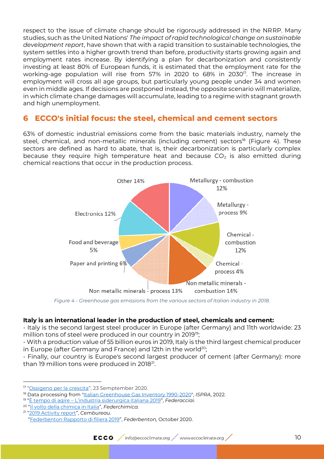respect to the issue of climate change should be rigorously addressed in the NRRP. Many studies, such as the United Nations' *The impact of rapid technological change on sustainable development report*, have shown that with a rapid transition to sustainable technologies, the system settles into a higher growth trend than before, productivity starts growing again and employment rates increase. By identifying a plan for decarbonization and consistently investing at least 80% of European funds, it is estimated that the employment rate for the working-age population will rise from 57% in 2020 to 68% in 2030<sup>17</sup>. The increase in employment will cross all age groups, but particularly young people under 34 and women even in middle ages. If decisions are postponed instead, the opposite scenario will materialize, in which climate change damages will accumulate, leading to a regime with stagnant growth and high unemployment.

## <span id="page-9-0"></span>**6 ECCO's initial focus: the steel, chemical and cement sectors**

63% of domestic industrial emissions come from the basic materials industry, namely the steel, chemical, and non-metallic minerals (including cement) sectors<sup>18</sup> (Figure 4). These sectors are defined as hard to abate, that is, their decarbonization is particularly complex because they require high temperature heat and because  $CO<sub>2</sub>$  is also emitted during chemical reactions that occur in the production process.



*Figure 4 - Greenhouse gas emissions from the various sectors of Italian industry in 2018.*

#### **Italy is an international leader in the production of steel, chemicals and cement:**

- Italy is the second largest steel producer in Europe (after Germany) and 11th worldwide: 23 million tons of steel were produced in our country in 2019<sup>19</sup>;

- With a production value of 55 billion euros in 2019, Italy is the third largest chemical producer in Europe (after Germany and France) and 12th in the world<sup>20</sup>;

- Finally, our country is Europe's second largest producer of cement (after Germany): more than 19 million tons were produced in 2018 $^{21}$ .

21 "[2019 Activity report](https://cembureau.eu/library/reports/)", *Cembureau.*  "[Federbenton Rapporto di filiera 2019](https://www.federbeton.it/Pubblicazioni)", *Federbenton,* October 2020.

<sup>&</sup>lt;sup>17</sup> "<u>[Ossigeno per la crescita](https://www.ref-e.com/it/focus-light/ossigeno-per-la-crescita)</u>", 23 Semptember 2020.

<sup>18</sup> Data processing from ["Italian Greenhouse Gas Inventory 1990-2020"](https://www.isprambiente.gov.it/files2022/pubblicazioni/rapporti/nir2022_italy_r360.pdf), *ISPRA*, 2022.

<sup>19</sup> "È tempo di agire – [L'industria siderurgica italiana 2019"](http://federacciai.it/), *Federacciai*.

<sup>20</sup> "[Il volto della chimica in Italia](https://www.federchimica.it/docs/default-source/la-chimica-in-cifre/3_il-volto-della-chimica-in-italia.pdf?sfvrsn=c0e57493_27)", *Federchimica.*